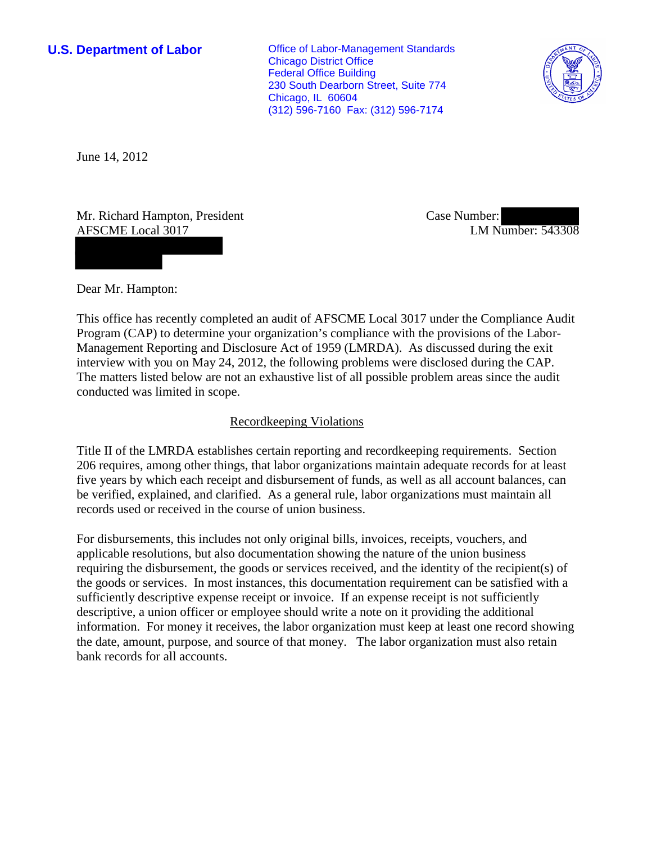**U.S. Department of Labor Conservative Conservative Conservative Conservative Conservative Conservative Conservative Conservative Conservative Conservative Conservative Conservative Conservative Conservative Conservative** Chicago District Office Federal Office Building 230 South Dearborn Street, Suite 774 Chicago, IL 60604 (312) 596-7160 Fax: (312) 596-7174



June 14, 2012

Mr. Richard Hampton, President AFSCME Local 3017

Case Number: LM Number: 543308

Dear Mr. Hampton:

This office has recently completed an audit of AFSCME Local 3017 under the Compliance Audit Program (CAP) to determine your organization's compliance with the provisions of the Labor-Management Reporting and Disclosure Act of 1959 (LMRDA). As discussed during the exit interview with you on May 24, 2012, the following problems were disclosed during the CAP. The matters listed below are not an exhaustive list of all possible problem areas since the audit conducted was limited in scope.

# Recordkeeping Violations

Title II of the LMRDA establishes certain reporting and recordkeeping requirements. Section 206 requires, among other things, that labor organizations maintain adequate records for at least five years by which each receipt and disbursement of funds, as well as all account balances, can be verified, explained, and clarified. As a general rule, labor organizations must maintain all records used or received in the course of union business.

For disbursements, this includes not only original bills, invoices, receipts, vouchers, and applicable resolutions, but also documentation showing the nature of the union business requiring the disbursement, the goods or services received, and the identity of the recipient(s) of the goods or services. In most instances, this documentation requirement can be satisfied with a sufficiently descriptive expense receipt or invoice. If an expense receipt is not sufficiently descriptive, a union officer or employee should write a note on it providing the additional information. For money it receives, the labor organization must keep at least one record showing the date, amount, purpose, and source of that money. The labor organization must also retain bank records for all accounts.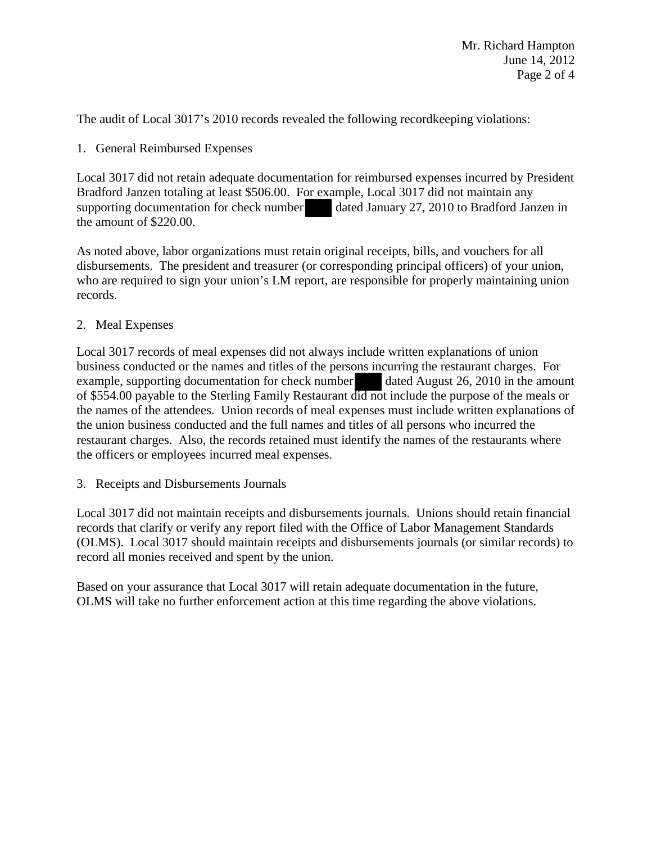The audit of Local 3017's 2010 records revealed the following recordkeeping violations:

1. General Reimbursed Expenses

Local 3017 did not retain adequate documentation for reimbursed expenses incurred by President Bradford Janzen totaling at least \$506.00. For example, Local 3017 did not maintain any supporting documentation for check number dated January 27, 2010 to Bradford Janzen in the amount of \$220.00.

As noted above, labor organizations must retain original receipts, bills, and vouchers for all disbursements. The president and treasurer (or corresponding principal officers) of your union, who are required to sign your union's LM report, are responsible for properly maintaining union records.

2. Meal Expenses

Local 3017 records of meal expenses did not always include written explanations of union business conducted or the names and titles of the persons incurring the restaurant charges. For example, supporting documentation for check number dated August 26, 2010 in the amount of \$554.00 payable to the Sterling Family Restaurant did not include the purpose of the meals or the names of the attendees. Union records of meal expenses must include written explanations of the union business conducted and the full names and titles of all persons who incurred the restaurant charges. Also, the records retained must identify the names of the restaurants where the officers or employees incurred meal expenses.

3. Receipts and Disbursements Journals

Local 3017 did not maintain receipts and disbursements journals. Unions should retain financial records that clarify or verify any report filed with the Office of Labor Management Standards (OLMS). Local 3017 should maintain receipts and disbursements journals (or similar records) to record all monies received and spent by the union.

Based on your assurance that Local 3017 will retain adequate documentation in the future, OLMS will take no further enforcement action at this time regarding the above violations.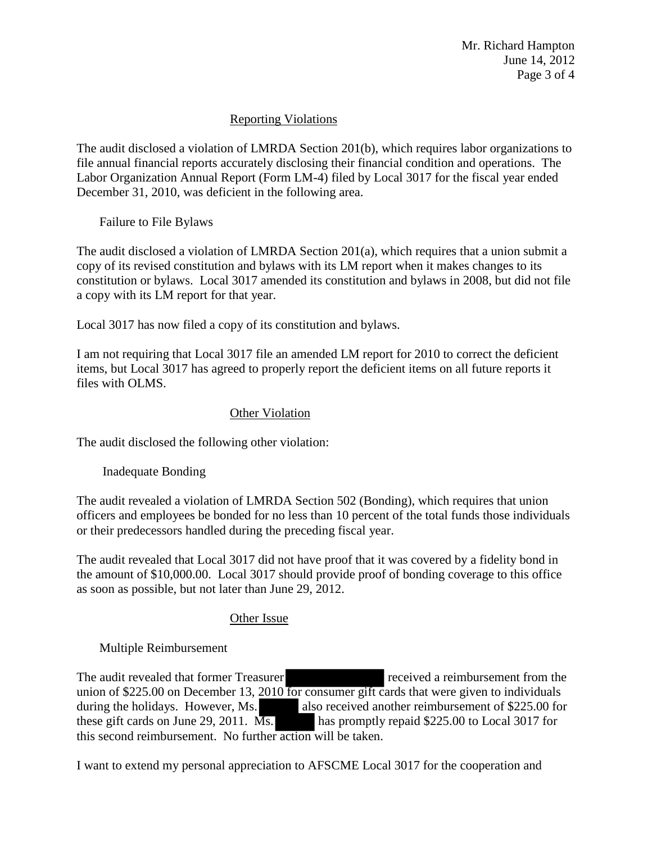Mr. Richard Hampton June 14, 2012 Page 3 of 4

# Reporting Violations

The audit disclosed a violation of LMRDA Section 201(b), which requires labor organizations to file annual financial reports accurately disclosing their financial condition and operations. The Labor Organization Annual Report (Form LM-4) filed by Local 3017 for the fiscal year ended December 31, 2010, was deficient in the following area.

Failure to File Bylaws

The audit disclosed a violation of LMRDA Section 201(a), which requires that a union submit a copy of its revised constitution and bylaws with its LM report when it makes changes to its constitution or bylaws. Local 3017 amended its constitution and bylaws in 2008, but did not file a copy with its LM report for that year.

Local 3017 has now filed a copy of its constitution and bylaws.

I am not requiring that Local 3017 file an amended LM report for 2010 to correct the deficient items, but Local 3017 has agreed to properly report the deficient items on all future reports it files with OLMS.

# Other Violation

The audit disclosed the following other violation:

Inadequate Bonding

The audit revealed a violation of LMRDA Section 502 (Bonding), which requires that union officers and employees be bonded for no less than 10 percent of the total funds those individuals or their predecessors handled during the preceding fiscal year.

The audit revealed that Local 3017 did not have proof that it was covered by a fidelity bond in the amount of \$10,000.00. Local 3017 should provide proof of bonding coverage to this office as soon as possible, but not later than June 29, 2012.

### Other Issue

Multiple Reimbursement

The audit revealed that former Treasurer received a reimbursement from the union of \$225.00 on December 13, 2010 for consumer gift cards that were given to individuals during the holidays. However, Ms. also received another reimbursement of \$225.00 for these gift cards on June 29, 2011.  $\overline{Ms}$  has promptly repaid \$225.00 to Local 3017 for this second reimbursement. No further action will be taken.

I want to extend my personal appreciation to AFSCME Local 3017 for the cooperation and